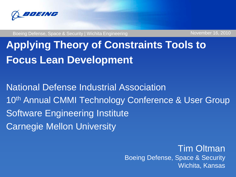

Boeing Defense, Space & Security | Wichita Engineering November 16, 2010

# **Applying Theory of Constraints Tools to Focus Lean Development**

National Defense Industrial Association 10<sup>th</sup> Annual CMMI Technology Conference & User Group Software Engineering Institute Carnegie Mellon University

> Tim Oltman Boeing Defense, Space & Security Wichita, Kansas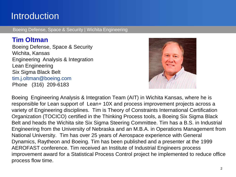#### **Introduction**

Boeing Defense, Space & Security | Wichita Engineering

#### **Tim Oltman**

Boeing Defense, Space & Security Wichita, Kansas Engineering Analysis & Integration Lean Engineering Six Sigma Black Belt tim.j.oltman@boeing.com Phone (316) 209-6183



Boeing Engineering Analysis & Integration Team (AIT) in Wichita Kansas, where he is responsible for Lean support of Lean+ 10X and process improvement projects across a variety of Engineering disciplines. Tim is Theory of Constraints International Certification Organization (TOCICO) certified in the Thinking Process tools, a Boeing Six Sigma Black Belt and heads the Wichita site Six Sigma Steering Committee. Tim has a B.S. in Industrial Engineering from the University of Nebraska and an M.B.A. in Operations Management from National University. Tim has over 25 years of Aerospace experience with General Dynamics, Raytheon and Boeing. Tim has been published and a presenter at the 1999 AEROFAST conference. Tim received an Institute of Industrial Engineers process improvement award for a Statistical Process Control project he implemented to reduce office process flow time.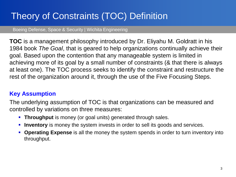## Theory of Constraints (TOC) Definition

Boeing Defense, Space & Security | Wichita Engineering

**TOC** is a management philosophy introduced by Dr. Eliyahu M. Goldratt in his 1984 book *The Goal*, that is geared to help organizations continually achieve their goal. Based upon the contention that any manageable system is limited in achieving more of its goal by a small number of constraints (& that there is always at least one). The TOC process seeks to identify the constraint and restructure the rest of the organization around it, through the use of the Five Focusing Steps.

#### **Key Assumption**

The underlying assumption of TOC is that organizations can be measured and controlled by variations on three measures:

- **Throughput** is money (or goal units) generated through sales.
- **Inventory** is money the system invests in order to sell its goods and services.
- **Operating Expense** is all the money the system spends in order to turn inventory into throughput.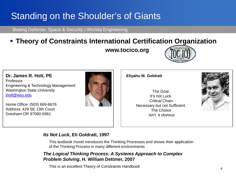## Standing on the Shoulder's of Giants

Boeing Defense, Space & Security | Wichita Engineering

#### **Theory of Constraints International Certification Organization**

**www.tocico.org**



**Dr. James R. Holt, PE** Professor Engineering & Technology Management: Washington State University [jholt@wsu.edu](mailto:jholt@wsu.edu)

Home Office: (503) 669-6676 Address: 429 SE 13th Court Gresham OR 97080-9361



**Eliyahu M. Goldratt**

The Goal. It's not Luck. Critical Chain Necessary but not Sufficient. The Choice Isn't it obvious



#### *Its Not Luck***, Eli Goldratt, 1997**

This textbook /novel introduces the Thinking Processes and shows their application of the Thinking Process in many different environments

#### *The Logical Thinking Process: A Systems Approach to Complex Problem Solving***, H. William Dettmer, 2007**

This is an excellent Theory of Constraints Handbook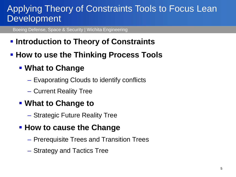#### Applying Theory of Constraints Tools to Focus Lean Development

Boeing Defense, Space & Security | Wichita Engineering

- **Introduction to Theory of Constraints**
- **How to use the Thinking Process Tools**

#### **What to Change**

- Evaporating Clouds to identify conflicts
- Current Reality Tree
- **What to Change to**
	- Strategic Future Reality Tree

#### **How to cause the Change**

- Prerequisite Trees and Transition Trees
- Strategy and Tactics Tree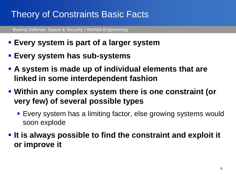## Theory of Constraints Basic Facts

- **Every system is part of a larger system**
- **Every system has sub-systems**
- **A system is made up of individual elements that are linked in some interdependent fashion**
- **Within any complex system there is one constraint (or very few) of several possible types**
	- Every system has a limiting factor, else growing systems would soon explode
- **It is always possible to find the constraint and exploit it or improve it**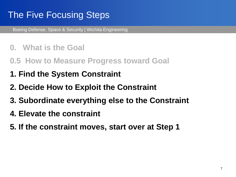### The Five Focusing Steps

- **0. What is the Goal**
- **0.5 How to Measure Progress toward Goal**
- **1. Find the System Constraint**
- **2. Decide How to Exploit the Constraint**
- **3. Subordinate everything else to the Constraint**
- **4. Elevate the constraint**
- **5. If the constraint moves, start over at Step 1**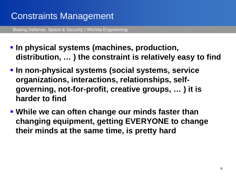## Constraints Management

- **In physical systems (machines, production, distribution, … ) the constraint is relatively easy to find**
- **In non-physical systems (social systems, service organizations, interactions, relationships, selfgoverning, not-for-profit, creative groups, … ) it is harder to find**
- **While we can often change our minds faster than changing equipment, getting EVERYONE to change their minds at the same time, is pretty hard**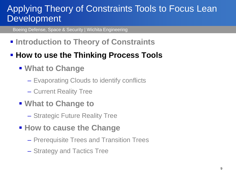#### Applying Theory of Constraints Tools to Focus Lean Development

Boeing Defense, Space & Security | Wichita Engineering

**Finarial Introduction to Theory of Constraints** 

#### **How to use the Thinking Process Tools**

- **What to Change**
	- Evaporating Clouds to identify conflicts
	- Current Reality Tree
- **What to Change to**
	- Strategic Future Reality Tree
- **How to cause the Change** 
	- Prerequisite Trees and Transition Trees
	- Strategy and Tactics Tree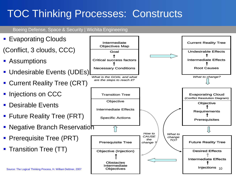## TOC Thinking Processes: Constructs

Boeing Defense, Space & Security | Wichita Engineering

Injections <sub>10</sub> BOEING PROPRIETARY – Distribution Limited to Boeing Personnel **Evaporating Clouds** (Conflict, 3 clouds, CCC) ■ Assumptions **Undesirable Events (UDEs) Current Reality Tree (CRT) Injections on CCC Desirable Events** ■ Future Reality Tree (FRT) ■ Negative Branch Reservation **Prerequisite Tree (PRT)** ■ Transition Tree (TT) *What is the GOAL and what What to change? are the steps to reach it?* Goal Critical success factors Necessary Conditions Intermediate Objectives Map Objective (Injection) **Obstacles** Intermediate **Objectives** Prerequisite Tree **Objective Requirements Prerequisites** Evaporating Cloud (Conflict Resolution Diagram) Undesirable Effects Intermediate Effects Root Causes Current Reality Tree **Objective** Intermediate Effects Specific Actions Transition Tree Desired Effects Intermediate Effects Future Reality Tree *What to change TO? How to CAUSE the change ?* Future Reality Tree (FRT)<br>
Negative Branch Reservation<br>
Prerequisite Tree (PRT)<br>
Transition Tree (TT)<br>
Source: The Logical Thinking Process, H. William Dettmer, 2007<br>
Source: The Logical Thinking Process, H. William Dettme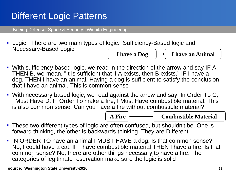#### Different Logic Patterns

Boeing Defense, Space & Security | Wichita Engineering

 Logic: There are two main types of logic: Sufficiency-Based logic and Necessary-Based Logic

**I have a Dog**  $\rightarrow$  **I have an Animal** 

- With sufficiency based logic, we read in the direction of the arrow and say IF A, THEN B, we mean, "It is sufficient that if A exists, then B exists." IF I have a dog, THEN I have an animal. Having a dog is sufficient to satisfy the conclusion that I have an animal. This is common sense
- With necessary based logic, we read against the arrow and say, In Order To C, I Must Have D. In Order To make a fire, I Must Have combustible material. This is also common sense. Can you have a fire without combustible material?



**A Fire Combustible Material**

- **These two different types of logic are often confused, but shouldn't be. One is** forward thinking, the other is backwards thinking. They are Different
- **IN ORDER TO have an animal I MUST HAVE a dog. Is that common sense?** No, I could have a cat. IF I have combustible material THEN I have a fire. Is that common sense? No, there are other things necessary to have a fire. The categories of legitimate reservation make sure the logic is solid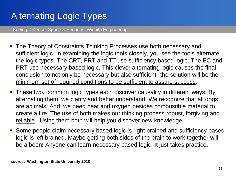## Alternating Logic Types

- The Theory of Constraints Thinking Processes use both necessary and sufficient logic. In examining the logic tools closely, you see the tools alternate the logic types. The CRT, FRT and TT use sufficiency based logic. The EC and PRT use necessary based logic. This clever alternating logic causes the final conclusion to not only be necessary but also sufficient--the solution will be the minimum set of required conditions to be sufficient to assure success.
- **These two, common logic types each discover causality in different ways. By** alternating them, we clarify and better understand. We recognize that all dogs are animals. And, we need heat and oxygen besides combustible material to create a fire. The use of both makes our thinking process robust, forgiving and reliable. Using them both will help you discover new knowledge.
- Some people claim necessary based logic is right brained and sufficiency based logic is left brained. Maybe getting both sides of the brain to work together will be a boon! Anyone can learn necessary based logic. It just takes practice.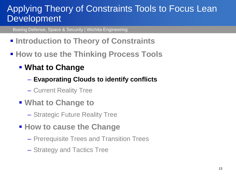#### Applying Theory of Constraints Tools to Focus Lean Development

- **Finarial Introduction to Theory of Constraints**
- **How to use the Thinking Process Tools** 
	- **What to Change**
		- **Evaporating Clouds to identify conflicts**
		- Current Reality Tree
	- **What to Change to**
		- Strategic Future Reality Tree
	- **How to cause the Change** 
		- Prerequisite Trees and Transition Trees
		- Strategy and Tactics Tree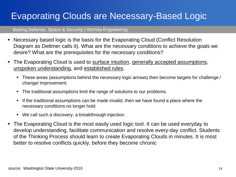## Evaporating Clouds are Necessary-Based Logic

- Necessary based logic is the basis for the Evaporating Cloud (Conflict Resolution Diagram as Dettmer calls it). What are the necessary conditions to achieve the goals we desire? What are the prerequisites for the necessary conditions?
- The Evaporating Cloud is used to surface intuition, generally accepted assumptions, unspoken understanding, and established rules.
	- These areas (assumptions behind the necessary logic arrows) then become targets for challenge / change/ improvement.
	- The traditional assumptions limit the range of solutions to our problems.
	- If the traditional assumptions can be made invalid, then we have found a place where the necessary conditions no longer hold.
	- We call such a discovery, a breakthrough injection.
- The Evaporating Cloud is the most easily used logic tool. It can be used everyday to develop understanding, facilitate communication and resolve every-day conflict. Students of the Thinking Process should learn to create Evaporating Clouds in minutes. It is most better to resolve conflicts quickly, before they become chronic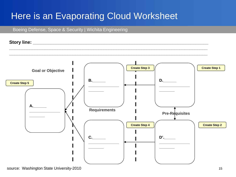### Here is an Evaporating Cloud Worksheet

Boeing Defense, Space & Security | Wichita Engineering





**\_\_\_\_\_\_\_\_\_\_\_\_\_\_\_\_\_\_\_\_\_\_\_\_\_\_\_\_\_\_\_\_\_\_\_\_\_\_\_\_\_\_\_\_\_\_\_\_\_\_\_\_\_\_\_\_\_\_\_\_\_\_\_\_\_\_\_\_\_\_\_\_\_\_\_\_\_\_**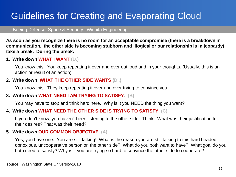## Guidelines for Creating and Evaporating Cloud

Boeing Defense, Space & Security | Wichita Engineering

**As soon as you recognize there is no room for an acceptable compromise (there is a breakdown in communication, the other side is becoming stubborn and illogical or our relationship is in jeopardy) take a break. During the break:**

#### **1. Write down WHAT I WANT (D.)**

You know this. You keep repeating it over and over out loud and in your thoughts. (Usually, this is an action or result of an action)

#### **2. Write down WHAT THE OTHER SIDE WANTS (D'.)**

You know this. They keep repeating it over and over trying to convince you.

#### **3. Write down WHAT NEED I AM TRYING TO SATISFY. (B)**

You may have to stop and think hard here. Why is it you NEED the thing you want?

#### **4. Write down WHAT NEED THE OTHER SIDE IS TRYING TO SATISFY. (C)**

If you don't know, you haven't been listening to the other side. Think! What was their justification for their desires? That was their need?

#### **5. Write down OUR COMMON OBJECTIVE. (A)**

Yes, you have one. You are still talking! What is the reason you are still talking to this hard headed, obnoxious, uncooperative person on the other side? What do you both want to have? What goal do you both need to satisfy? Why is it you are trying so hard to convince the other side to cooperate?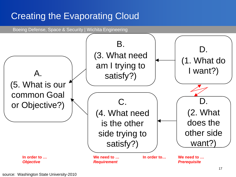## Creating the Evaporating Cloud

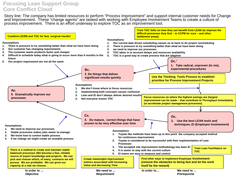#### **Focusing Lean Support Group Core Conflict Cloud**

Story line: The company has limited resources to perform "Process Improvement" and support internal customer needs for Change and Improvement. These "change agents" are tasked with working with Employee Involvement Teams to create a culture of process improvement. There is an effort underway to explore TOC as an improvement tool.

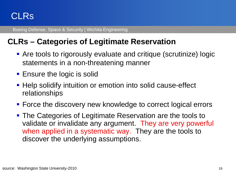#### CLRs

Boeing Defense, Space & Security | Wichita Engineering

#### **CLRs – Categories of Legitimate Reservation**

- Are tools to rigorously evaluate and critique (scrutinize) logic statements in a non-threatening manner
- **Ensure the logic is solid**
- **Help solidify intuition or emotion into solid cause-effect** relationships
- **Force the discovery new knowledge to correct logical errors**
- **The Categories of Legitimate Reservation are the tools to** validate or invalidate any argument. They are very powerful when applied in a systematic way. They are the tools to discover the underlying assumptions.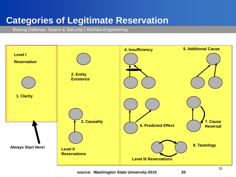### **Categories of Legitimate Reservation**

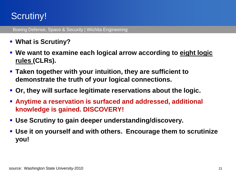## Scrutiny!

- **What is Scrutiny?**
- **We want to examine each logical arrow according to eight logic rules (CLRs).**
- **Taken together with your intuition, they are sufficient to demonstrate the truth of your logical connections.**
- **Or, they will surface legitimate reservations about the logic.**
- **Anytime a reservation is surfaced and addressed, additional knowledge is gained. DISCOVERY!**
- **Use Scrutiny to gain deeper understanding/discovery.**
- **Use it on yourself and with others. Encourage them to scrutinize you!**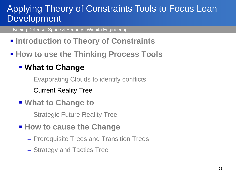#### Applying Theory of Constraints Tools to Focus Lean Development

Boeing Defense, Space & Security | Wichita Engineering

- **Finarial Introduction to Theory of Constraints**
- **How to use the Thinking Process Tools**

#### **What to Change**

- Evaporating Clouds to identify conflicts
- Current Reality Tree
- **What to Change to**
	- Strategic Future Reality Tree
- **How to cause the Change** 
	- Prerequisite Trees and Transition Trees
	- Strategy and Tactics Tree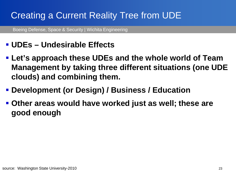## Creating a Current Reality Tree from UDE

Boeing Defense, Space & Security | Wichita Engineering

#### **UDEs – Undesirable Effects**

- **Let's approach these UDEs and the whole world of Team Management by taking three different situations (one UDE clouds) and combining them.**
- **Development (or Design) / Business / Education**
- **Other areas would have worked just as well; these are good enough**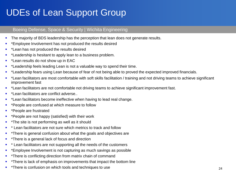## UDEs of Lean Support Group

- The majority of BDS leadership has the perception that lean does not generate results.
- \*Employee Involvement has not produced the results desired
- **E** \*Lean has not produced the results desired
- \*Leadership is hesitant to apply lean to a business problem.
- \*Lean results do not show up in EAC
- \*Leadership feels leading Lean is not a valuable way to spend their time.
- \*Leadership fears using Lean because of fear of not being able to proved the expected improved financials.
- \*Lean facilitators are most comfortable with soft skills facilitation / training and not driving teams to achieve significant improvement fast
- \*Lean facilitators are not comfortable not driving teams to achieve significant improvement fast.
- \*Lean facilitators are conflict adverse..
- \*Lean facilitators become ineffective when having to lead real change.
- \* \*People are confused at which measure to follow
- **\*** \*People are frustrated
- \*People are not happy (satisfied) with their work
- \*The site is not performing as well as it should
- \* Lean facilitators are not sure which metrics to track and follow
- \*There is general confusion about what the goals and objectives are
- \* \*There is a general lack of focus and direction
- \* Lean facilitators are not supporting all the needs of the customers
- \* \*Employee Involvement is not capturing as much savings as possible
- \* There is conflicting direction from matrix chain of command
- \*There is lack of emphasis on improvements that impact the bottom line
- \* \*There is confusion on which tools and techniques to use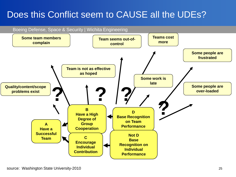#### Does this Conflict seem to CAUSE all the UDEs?

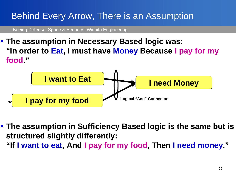## Behind Every Arrow, There is an Assumption

Boeing Defense, Space & Security | Wichita Engineering

 **The assumption in Necessary Based logic was: "In order to Eat, I must have Money Because I pay for my food."**



- **The assumption in Sufficiency Based logic is the same but is structured slightly differently:**
	- **"If I want to eat, And I pay for my food, Then I need money."**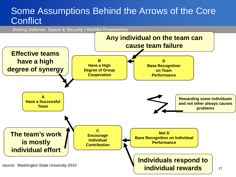#### Some Assumptions Behind the Arrows of the Core **Conflict**

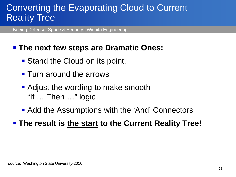#### Converting the Evaporating Cloud to Current Reality Tree

Boeing Defense, Space & Security | Wichita Engineering

#### **The next few steps are Dramatic Ones:**

- Stand the Cloud on its point.
- **Turn around the arrows**
- **Adjust the wording to make smooth** "If … Then …" logic
- Add the Assumptions with the 'And' Connectors

#### **The result is the start to the Current Reality Tree!**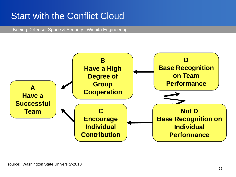### Start with the Conflict Cloud

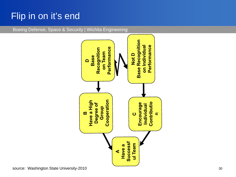## Flip in on it's end

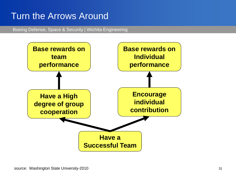#### Turn the Arrows Around

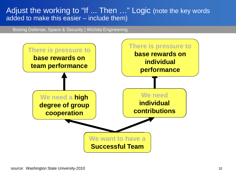#### Adjust the working to "If ... Then ..." Logic (note the key words added to make this easier – include them)

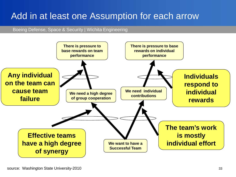#### Add in at least one Assumption for each arrow

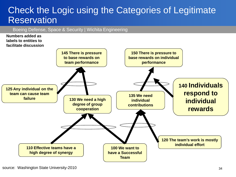#### Check the Logic using the Categories of Legitimate **Reservation**

Boeing Defense, Space & Security | Wichita Engineering

#### **Numbers added as labels to entities to facilitate discussion**

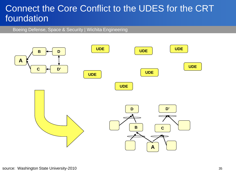#### Connect the Core Conflict to the UDES for the CRT foundation

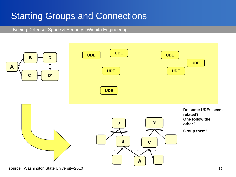## Starting Groups and Connections

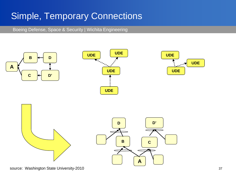## Simple, Temporary Connections

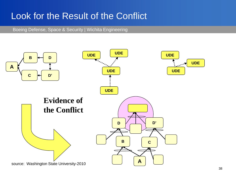#### Look for the Result of the Conflict

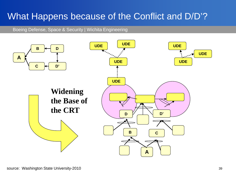## What Happens because of the Conflict and D/D'?

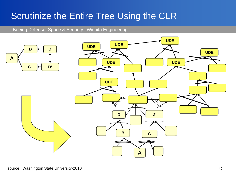### Scrutinize the Entire Tree Using the CLR

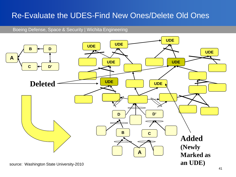#### Re-Evaluate the UDES-Find New Ones/Delete Old Ones

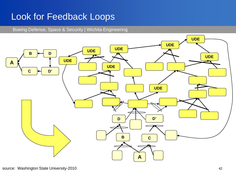### Look for Feedback Loops

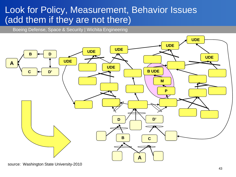#### Look for Policy, Measurement, Behavior Issues (add them if they are not there)

Boeing Defense, Space & Security | Wichita Engineering



source: Washington State University-2010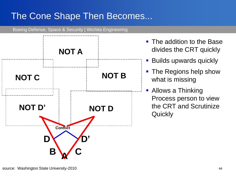## The Cone Shape Then Becomes...



- The addition to the Base divides the CRT quickly
- Builds upwards quickly
- The Regions help show what is missing
- **Allows a Thinking** Process person to view the CRT and Scrutinize **Quickly**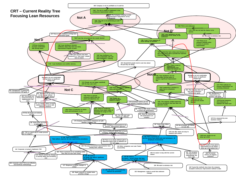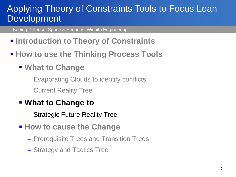#### Applying Theory of Constraints Tools to Focus Lean Development

- **Finarial Introduction to Theory of Constraints**
- **How to use the Thinking Process Tools** 
	- **What to Change**
		- Evaporating Clouds to identify conflicts
		- Current Reality Tree
	- **What to Change to**
		- Strategic Future Reality Tree
	- **How to cause the Change** 
		- Prerequisite Trees and Transition Trees
		- Strategy and Tactics Tree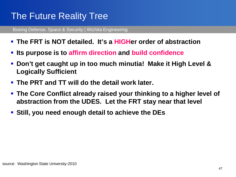## The Future Reality Tree

- **The FRT is NOT detailed. It's a HIGHer order of abstraction**
- **Its purpose is to affirm direction and build confidence**
- **Don't get caught up in too much minutia! Make it High Level & Logically Sufficient**
- **The PRT and TT will do the detail work later.**
- **The Core Conflict already raised your thinking to a higher level of abstraction from the UDES. Let the FRT stay near that level**
- **Still, you need enough detail to achieve the DEs**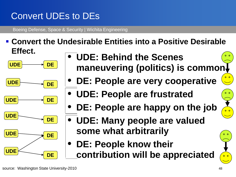## Convert UDEs to DEs

Boeing Defense, Space & Security | Wichita Engineering

 **Convert the Undesirable Entities into a Positive Desirable Effect.**









- **UDE: Behind the Scenes maneuvering (politics) is common**
	- **DE: People are very cooperative**
	- **UDE: People are frustrated**
	- **DE: People are happy on the job**
	- **UDE: Many people are valued some what arbitrarily**
- **DE: People know their contribution will be appreciated**

 $0<sub>o</sub>$ 

 $\overline{\bullet}$   $\overline{\bullet}$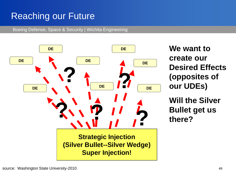## Reaching our Future

Boeing Defense, Space & Security | Wichita Engineering



**We want to create our Desired Effects (opposites of our UDEs)**

**Will the Silver**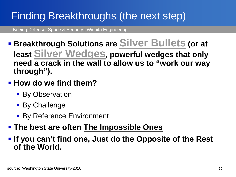# Finding Breakthroughs (the next step)

Boeing Defense, Space & Security | Wichita Engineering

- **F** Breakthrough Solutions are Silver Bullets (or at **least Silver Wedges, powerful wedges that only need a crack in the wall to allow us to "work our way through").**
- **How do we find them?** 
	- **By Observation**
	- **By Challenge**
	- By Reference Environment
- **The best are often The Impossible Ones**

 **If you can't find one, Just do the Opposite of the Rest of the World.**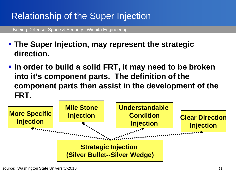## Relationship of the Super Injection

- **The Super Injection, may represent the strategic direction.**
- **In order to build a solid FRT, it may need to be broken into it's component parts. The definition of the component parts then assist in the development of the FRT.**

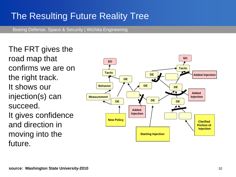### The Resulting Future Reality Tree

Boeing Defense, Space & Security | Wichita Engineering

The FRT gives the road map that confirms we are on the right track. It shows our injection(s) can succeed. It gives confidence and direction in moving into the future.

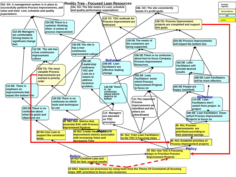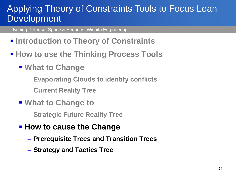#### Applying Theory of Constraints Tools to Focus Lean Development

- **Finarial Introduction to Theory of Constraints**
- **How to use the Thinking Process Tools** 
	- **What to Change**
		- **Evaporating Clouds to identify conflicts**
		- **Current Reality Tree**
	- **What to Change to**
		- **Strategic Future Reality Tree**
	- **How to cause the Change** 
		- **Prerequisite Trees and Transition Trees**
		- **Strategy and Tactics Tree**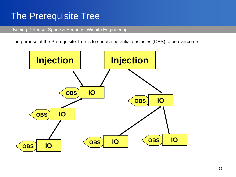#### The Prerequisite Tree

Boeing Defense, Space & Security | Wichita Engineering

The purpose of the Prerequisite Tree is to surface potential obstacles (OBS) to be overcome

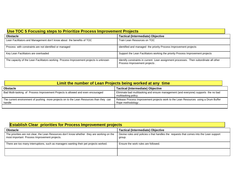| Use TOC 5 Focusing steps to Prioritize Process Improvement Projects                   |                                                                                                                        |
|---------------------------------------------------------------------------------------|------------------------------------------------------------------------------------------------------------------------|
| <b>Obstacle</b>                                                                       | <b>Tactical (Intermediate) Objective</b>                                                                               |
| Lean Facilitators and Management don't know about the benefits of TOC                 | Train Lean Resources on TOC                                                                                            |
| Process with constraints are not identified or managed                                | identified and managed the priority Process Improvement projects                                                       |
| Key Lean Facilitators are overloaded                                                  | Support the Lean Facilitators working the priority Process Improvement projects                                        |
| The capacity of the Lean Facilitators working Process Improvement projects is unknown | Identify constraints in current Lean assignment processes. Then subordinate all other<br>Process Improvement projects. |

| Limit the number of Lean Projects being worked at any time                                        |                                                                                                             |
|---------------------------------------------------------------------------------------------------|-------------------------------------------------------------------------------------------------------------|
| <b>Obstacle</b>                                                                                   | <b>Tactical (Intermediate) Objective</b>                                                                    |
| Bad Multi-tasking of Process Improvement Projects is allowed and even encouraged                  | Eliminate bad multitasking and ensure management (and everyone) supports the no bad<br>multitasking policy. |
| The current environment of pushing more projects on to the Lean Resources than they can<br>handle | Release Process Improvement projects work to the Lean Resources using a Drum Buffer<br>Rope methodology.    |
|                                                                                                   |                                                                                                             |

| <b>Establish Clear priorities for Process Improvement projects</b>                                                                          |                                                                                                  |
|---------------------------------------------------------------------------------------------------------------------------------------------|--------------------------------------------------------------------------------------------------|
| <b>Obstacle</b>                                                                                                                             | <b>Tactical (Intermediate) Objective</b>                                                         |
| The priorities are not clear, the Lean Resources don't know whether they are working on the<br>most important Process Improvement projects. | Devise rules and policies s that handles the requests that comes into the Lean support<br>group. |
| There are too many interruptions, such as managers wanting their pet projects worked.                                                       | Ensure the work rules are followed.                                                              |
|                                                                                                                                             |                                                                                                  |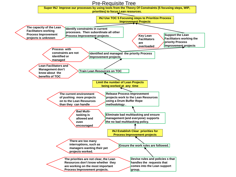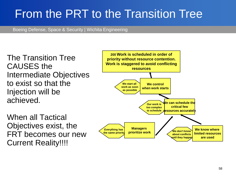# From the PRT to the Transition Tree

Boeing Defense, Space & Security | Wichita Engineering

The Transition Tree CAUSES the Intermediate Objectives to exist so that the Injection will be achieved.

When all Tactical Objectives exist, the FRT becomes our new Current Reality!!!!

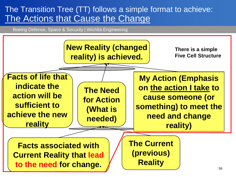#### The Transition Tree (TT) follows a simple format to achieve: The Actions that Cause the Change

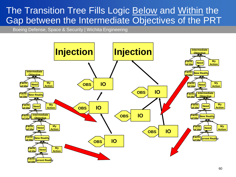#### The Transition Tree Fills Logic **Below** and Within the Gap between the Intermediate Objectives of the PRT

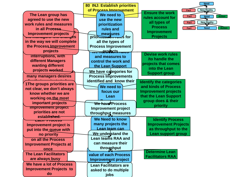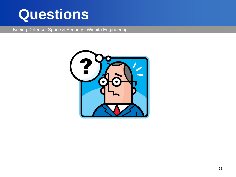# **Questions**